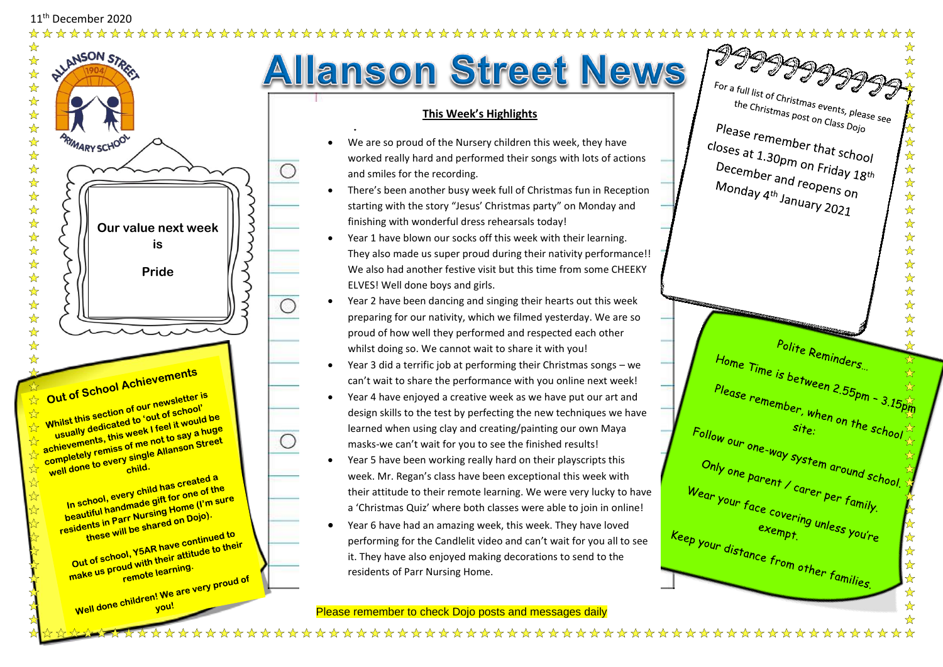

 $\bigcirc$ 

 $\bigcirc$ 

**Allanson Street News** 

## **This Week's Highlights**

- We are so proud of the Nursery children this week, they have worked really hard and performed their songs with lots of actions and smiles for the recording.
- There's been another busy week full of Christmas fun in Reception starting with the story "Jesus' Christmas party" on Monday and finishing with wonderful dress rehearsals today!
- Year 1 have blown our socks off this week with their learning. They also made us super proud during their nativity performance!! We also had another festive visit but this time from some CHEEKY ELVES! Well done boys and girls.
- Year 2 have been dancing and singing their hearts out this week preparing for our nativity, which we filmed yesterday. We are so proud of how well they performed and respected each other whilst doing so. We cannot wait to share it with you!
- Year 3 did a terrific job at performing their Christmas songs we can't wait to share the performance with you online next week!
- Year 4 have enjoyed a creative week as we have put our art and design skills to the test by perfecting the new techniques we have learned when using clay and creating/painting our own Maya masks-we can't wait for you to see the finished results!
- Year 5 have been working really hard on their playscripts this week. Mr. Regan's class have been exceptional this week with their attitude to their remote learning. We were very lucky to have a 'Christmas Quiz' where both classes were able to join in online!
- Year 6 have had an amazing week, this week. They have loved performing for the Candlelit video and can't wait for you all to see it. They have also enjoyed making decorations to send to the residents of Parr Nursing Home.

Please remember to check Dojo posts and messages daily

Please remember that school<br>closes at 1.30pm on Frist ☆☆☆☆☆☆☆ closes at 1.30pm on Friday  $18th$ <br>December and regains  $\frac{18th}{18th}$ December and reopens on<br>Monday 4th January 28<br>Monday 4th January 2010 Linder and reopens on<br>Monday 4<sup>th</sup> January 2021  $\frac{1}{\sqrt{2}}$  $\frac{1}{\mathcal{N}}$  $\frac{1}{\mathbf{k}^2}$ \*\*\*\*\*\*\*\* Polite Reminders...  $\frac{1}{\sqrt{2}}$ Home Time is between 2.55pm - 3.15pm<br>Please remember, wh 经公 Please remember, when on the school  $Site$  on the school only <sub>one parent / carer per family.</sub><br>Vear your face covering per family.  $We_{ar}$  your  $f_{ace}$  covering unless you're<br>  $e_{ep}$  your  $f_{ace}$  covering unless you're ☆☆☆☆☆☆ Exempt. "Inless you're<br>
Your distance from other families. ☆ ☆ 

2999999

For a full list of Christmas events, please see<br>the Christmas post on Class Doin the Christmas events, pleas<br>the Christmas post on Class Dojo<br>Pase ror